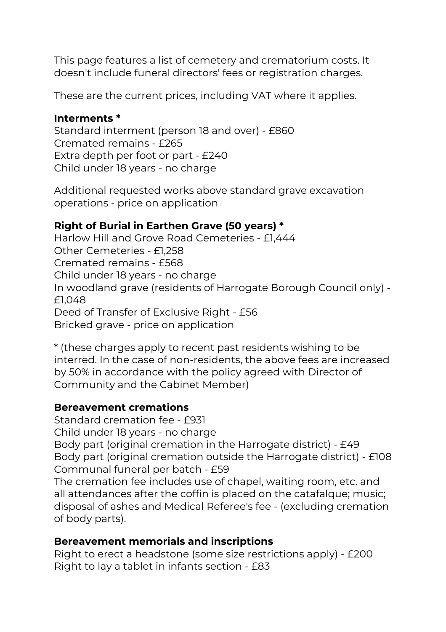This page features a list of cemetery and crematorium costs. It doesn't include funeral directors' fees or registration charges.

These are the current prices, including VAT where it applies.

#### **Interments \***

Standard interment (person 18 and over) - £860 Cremated remains - £265 Extra depth per foot or part - £240 Child under 18 years - no charge

Additional requested works above standard grave excavation operations - price on application

### **Right of Burial in Earthen Grave (50 years) \***

Harlow Hill and Grove Road Cemeteries - £1,444 Other Cemeteries - £1,258 Cremated remains - £568 Child under 18 years - no charge In woodland grave (residents of Harrogate Borough Council only) - £1,048 Deed of Transfer of Exclusive Right - £56 Bricked grave - price on application

\* (these charges apply to recent past residents wishing to be interred. In the case of non-residents, the above fees are increased by 50% in accordance with the policy agreed with Director of Community and the Cabinet Member)

#### **Bereavement cremations**

Standard cremation fee - £931 Child under 18 years - no charge Body part (original cremation in the Harrogate district) - £49 Body part (original cremation outside the Harrogate district) - £108 Communal funeral per batch - £59 The cremation fee includes use of chapel, waiting room, etc. and all attendances after the coffin is placed on the catafalque; music; disposal of ashes and Medical Referee's fee - (excluding cremation of body parts).

#### **Bereavement memorials and inscriptions**

Right to erect a headstone (some size restrictions apply) - £200 Right to lay a tablet in infants section - £83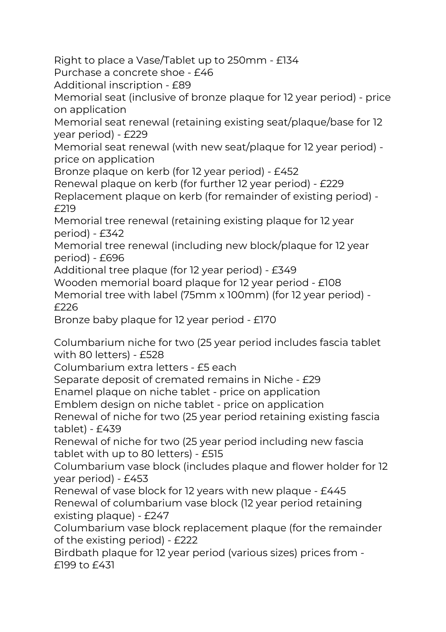Right to place a Vase/Tablet up to 250mm - £134

Purchase a concrete shoe - £46

Additional inscription - £89

Memorial seat (inclusive of bronze plaque for 12 year period) - price on application

Memorial seat renewal (retaining existing seat/plaque/base for 12 year period) - £229

Memorial seat renewal (with new seat/plaque for 12 year period) price on application

Bronze plaque on kerb (for 12 year period) - £452

Renewal plaque on kerb (for further 12 year period) - £229

Replacement plaque on kerb (for remainder of existing period) - £219

Memorial tree renewal (retaining existing plaque for 12 year period) - £342

Memorial tree renewal (including new block/plaque for 12 year period) - £696

Additional tree plaque (for 12 year period) - £349

Wooden memorial board plaque for 12 year period - £108 Memorial tree with label (75mm x 100mm) (for 12 year period) - £226

Bronze baby plaque for 12 year period - £170

Columbarium niche for two (25 year period includes fascia tablet with 80 letters) - £528

Columbarium extra letters - £5 each

Separate deposit of cremated remains in Niche - £29

Enamel plaque on niche tablet - price on application

Emblem design on niche tablet - price on application

Renewal of niche for two (25 year period retaining existing fascia tablet) - £439

Renewal of niche for two (25 year period including new fascia tablet with up to 80 letters) - £515

Columbarium vase block (includes plaque and flower holder for 12 year period) - £453

Renewal of vase block for 12 years with new plaque - £445 Renewal of columbarium vase block (12 year period retaining existing plaque) - £247

Columbarium vase block replacement plaque (for the remainder of the existing period) - £222

Birdbath plaque for 12 year period (various sizes) prices from - £199 to £431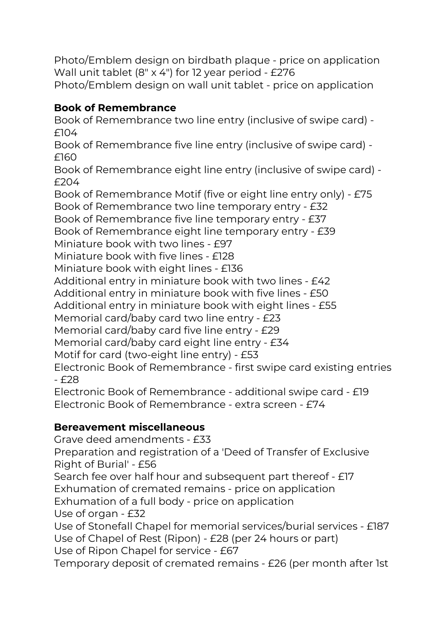Photo/Emblem design on birdbath plaque - price on application Wall unit tablet (8" x 4") for 12 year period - £276

Photo/Emblem design on wall unit tablet - price on application

## **Book of Remembrance**

Book of Remembrance two line entry (inclusive of swipe card) - £104 Book of Remembrance five line entry (inclusive of swipe card) - £160 Book of Remembrance eight line entry (inclusive of swipe card) - £204 Book of Remembrance Motif (five or eight line entry only) - £75 Book of Remembrance two line temporary entry - £32 Book of Remembrance five line temporary entry - £37 Book of Remembrance eight line temporary entry - £39 Miniature book with two lines - £97 Miniature book with five lines - £128 Miniature book with eight lines - £136 Additional entry in miniature book with two lines - £42 Additional entry in miniature book with five lines - £50 Additional entry in miniature book with eight lines - £55 Memorial card/baby card two line entry - £23 Memorial card/baby card five line entry - £29 Memorial card/baby card eight line entry - £34 Motif for card (two-eight line entry) - £53 Electronic Book of Remembrance - first swipe card existing entries - £28 Electronic Book of Remembrance - additional swipe card - £19

Electronic Book of Remembrance - extra screen - £74

# **Bereavement miscellaneous**

Grave deed amendments - £33 Preparation and registration of a 'Deed of Transfer of Exclusive Right of Burial' - £56 Search fee over half hour and subsequent part thereof - £17 Exhumation of cremated remains - price on application Exhumation of a full body - price on application Use of organ - £32 Use of Stonefall Chapel for memorial services/burial services - £187 Use of Chapel of Rest (Ripon) - £28 (per 24 hours or part) Use of Ripon Chapel for service - £67 Temporary deposit of cremated remains - £26 (per month after 1st